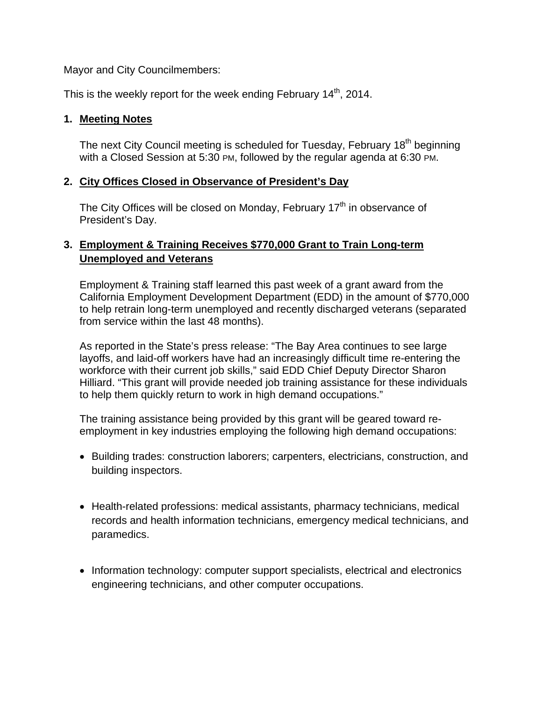Mayor and City Councilmembers:

This is the weekly report for the week ending February  $14<sup>th</sup>$ , 2014.

## **1. Meeting Notes**

The next City Council meeting is scheduled for Tuesday, February  $18<sup>th</sup>$  beginning with a Closed Session at 5:30 PM, followed by the regular agenda at 6:30 PM.

## **2. City Offices Closed in Observance of President's Day**

The City Offices will be closed on Monday, February  $17<sup>th</sup>$  in observance of President's Day.

# **3. Employment & Training Receives \$770,000 Grant to Train Long-term Unemployed and Veterans**

Employment & Training staff learned this past week of a grant award from the California Employment Development Department (EDD) in the amount of \$770,000 to help retrain long-term unemployed and recently discharged veterans (separated from service within the last 48 months).

As reported in the State's press release: "The Bay Area continues to see large layoffs, and laid-off workers have had an increasingly difficult time re-entering the workforce with their current job skills," said EDD Chief Deputy Director Sharon Hilliard. "This grant will provide needed job training assistance for these individuals to help them quickly return to work in high demand occupations."

The training assistance being provided by this grant will be geared toward reemployment in key industries employing the following high demand occupations:

- Building trades: construction laborers; carpenters, electricians, construction, and building inspectors.
- Health-related professions: medical assistants, pharmacy technicians, medical records and health information technicians, emergency medical technicians, and paramedics.
- Information technology: computer support specialists, electrical and electronics engineering technicians, and other computer occupations.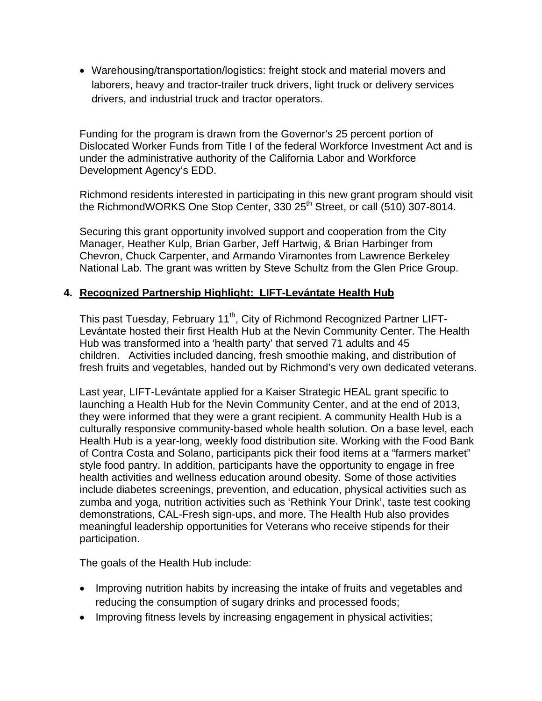Warehousing/transportation/logistics: freight stock and material movers and laborers, heavy and tractor-trailer truck drivers, light truck or delivery services drivers, and industrial truck and tractor operators.

Funding for the program is drawn from the Governor's 25 percent portion of Dislocated Worker Funds from Title I of the federal Workforce Investment Act and is under the administrative authority of the California Labor and Workforce Development Agency's EDD.

Richmond residents interested in participating in this new grant program should visit the RichmondWORKS One Stop Center, 330 25<sup>th</sup> Street, or call (510) 307-8014.

Securing this grant opportunity involved support and cooperation from the City Manager, Heather Kulp, Brian Garber, Jeff Hartwig, & Brian Harbinger from Chevron, Chuck Carpenter, and Armando Viramontes from Lawrence Berkeley National Lab. The grant was written by Steve Schultz from the Glen Price Group.

## **4. Recognized Partnership Highlight: LIFT-Levántate Health Hub**

This past Tuesday, February 11<sup>th</sup>, City of Richmond Recognized Partner LIFT-Levántate hosted their first Health Hub at the Nevin Community Center. The Health Hub was transformed into a 'health party' that served 71 adults and 45 children. Activities included dancing, fresh smoothie making, and distribution of fresh fruits and vegetables, handed out by Richmond's very own dedicated veterans.

Last year, LIFT-Levántate applied for a Kaiser Strategic HEAL grant specific to launching a Health Hub for the Nevin Community Center, and at the end of 2013, they were informed that they were a grant recipient. A community Health Hub is a culturally responsive community-based whole health solution. On a base level, each Health Hub is a year-long, weekly food distribution site. Working with the Food Bank of Contra Costa and Solano, participants pick their food items at a "farmers market" style food pantry. In addition, participants have the opportunity to engage in free health activities and wellness education around obesity. Some of those activities include diabetes screenings, prevention, and education, physical activities such as zumba and yoga, nutrition activities such as 'Rethink Your Drink', taste test cooking demonstrations, CAL-Fresh sign-ups, and more. The Health Hub also provides meaningful leadership opportunities for Veterans who receive stipends for their participation.

The goals of the Health Hub include:

- Improving nutrition habits by increasing the intake of fruits and vegetables and reducing the consumption of sugary drinks and processed foods;
- Improving fitness levels by increasing engagement in physical activities;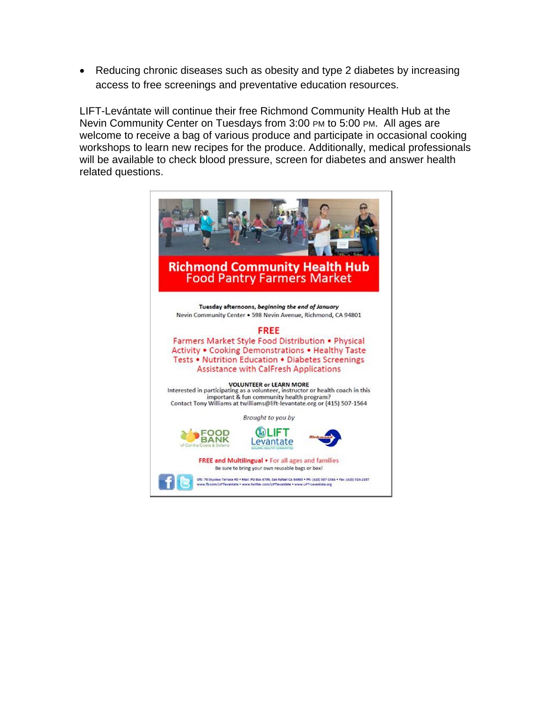Reducing chronic diseases such as obesity and type 2 diabetes by increasing access to free screenings and preventative education resources.

LIFT-Levántate will continue their free Richmond Community Health Hub at the Nevin Community Center on Tuesdays from 3:00 PM to 5:00 PM. All ages are welcome to receive a bag of various produce and participate in occasional cooking workshops to learn new recipes for the produce. Additionally, medical professionals will be available to check blood pressure, screen for diabetes and answer health related questions.

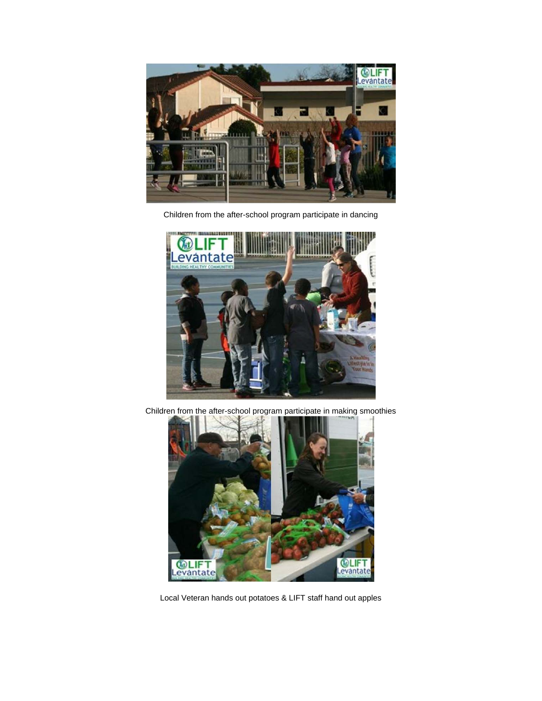

Children from the after-school program participate in dancing



Children from the after-school program participate in making smoothies



Local Veteran hands out potatoes & LIFT staff hand out apples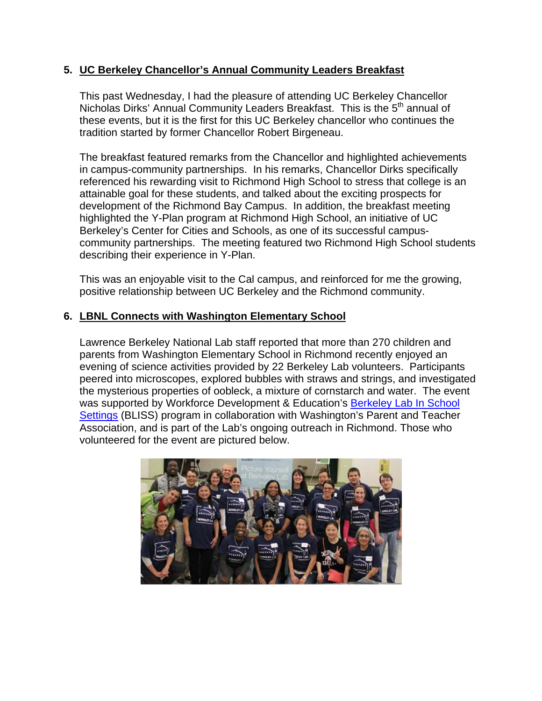## **5. UC Berkeley Chancellor's Annual Community Leaders Breakfast**

This past Wednesday, I had the pleasure of attending UC Berkeley Chancellor Nicholas Dirks' Annual Community Leaders Breakfast. This is the 5<sup>th</sup> annual of these events, but it is the first for this UC Berkeley chancellor who continues the tradition started by former Chancellor Robert Birgeneau.

The breakfast featured remarks from the Chancellor and highlighted achievements in campus-community partnerships. In his remarks, Chancellor Dirks specifically referenced his rewarding visit to Richmond High School to stress that college is an attainable goal for these students, and talked about the exciting prospects for development of the Richmond Bay Campus. In addition, the breakfast meeting highlighted the Y-Plan program at Richmond High School, an initiative of UC Berkeley's Center for Cities and Schools, as one of its successful campuscommunity partnerships. The meeting featured two Richmond High School students describing their experience in Y-Plan.

This was an enjoyable visit to the Cal campus, and reinforced for me the growing, positive relationship between UC Berkeley and the Richmond community.

## **6. LBNL Connects with Washington Elementary School**

Lawrence Berkeley National Lab staff reported that more than 270 children and parents from Washington Elementary School in Richmond recently enjoyed an evening of science activities provided by 22 Berkeley Lab volunteers. Participants peered into microscopes, explored bubbles with straws and strings, and investigated the mysterious properties of oobleck, a mixture of cornstarch and water. The event was supported by Workforce Development & Education's Berkeley Lab In School Settings (BLISS) program in collaboration with Washington's Parent and Teacher Association, and is part of the Lab's ongoing outreach in Richmond. Those who volunteered for the event are pictured below.

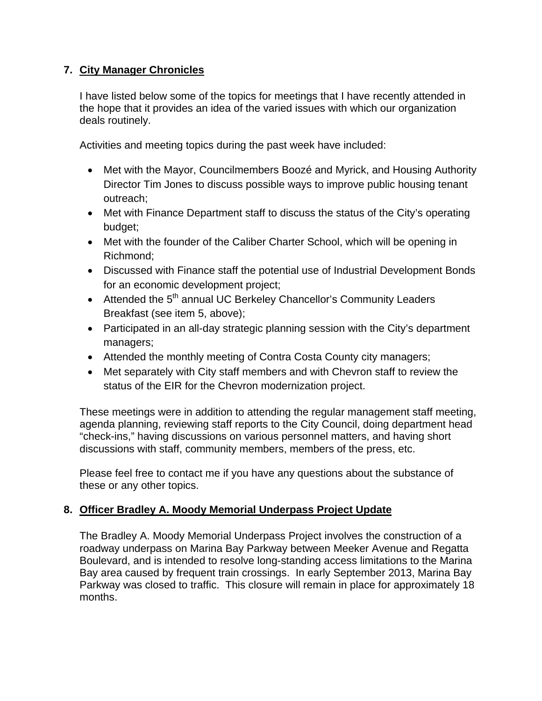# **7. City Manager Chronicles**

I have listed below some of the topics for meetings that I have recently attended in the hope that it provides an idea of the varied issues with which our organization deals routinely.

Activities and meeting topics during the past week have included:

- Met with the Mayor, Councilmembers Boozé and Myrick, and Housing Authority Director Tim Jones to discuss possible ways to improve public housing tenant outreach;
- Met with Finance Department staff to discuss the status of the City's operating budget;
- Met with the founder of the Caliber Charter School, which will be opening in Richmond;
- Discussed with Finance staff the potential use of Industrial Development Bonds for an economic development project;
- Attended the 5<sup>th</sup> annual UC Berkeley Chancellor's Community Leaders Breakfast (see item 5, above);
- Participated in an all-day strategic planning session with the City's department managers;
- Attended the monthly meeting of Contra Costa County city managers;
- Met separately with City staff members and with Chevron staff to review the status of the EIR for the Chevron modernization project.

These meetings were in addition to attending the regular management staff meeting, agenda planning, reviewing staff reports to the City Council, doing department head "check-ins," having discussions on various personnel matters, and having short discussions with staff, community members, members of the press, etc.

Please feel free to contact me if you have any questions about the substance of these or any other topics.

# **8. Officer Bradley A. Moody Memorial Underpass Project Update**

The Bradley A. Moody Memorial Underpass Project involves the construction of a roadway underpass on Marina Bay Parkway between Meeker Avenue and Regatta Boulevard, and is intended to resolve long-standing access limitations to the Marina Bay area caused by frequent train crossings. In early September 2013, Marina Bay Parkway was closed to traffic. This closure will remain in place for approximately 18 months.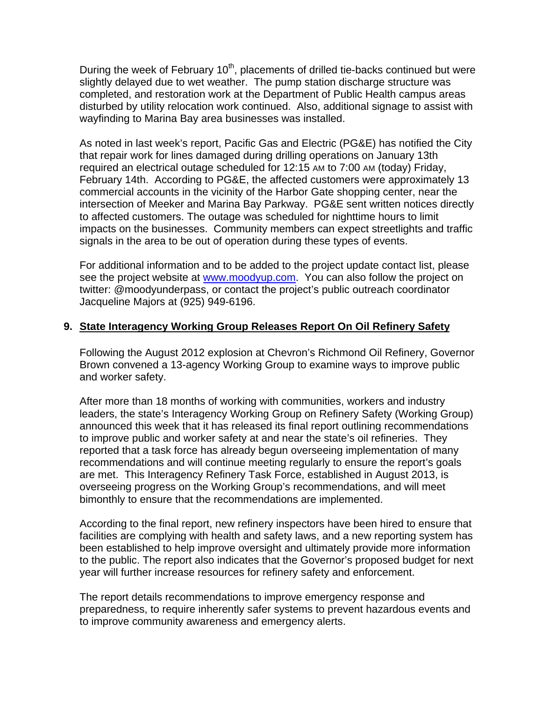During the week of February  $10<sup>th</sup>$ , placements of drilled tie-backs continued but were slightly delayed due to wet weather. The pump station discharge structure was completed, and restoration work at the Department of Public Health campus areas disturbed by utility relocation work continued. Also, additional signage to assist with wayfinding to Marina Bay area businesses was installed.

As noted in last week's report, Pacific Gas and Electric (PG&E) has notified the City that repair work for lines damaged during drilling operations on January 13th required an electrical outage scheduled for 12:15 AM to 7:00 AM (today) Friday, February 14th. According to PG&E, the affected customers were approximately 13 commercial accounts in the vicinity of the Harbor Gate shopping center, near the intersection of Meeker and Marina Bay Parkway. PG&E sent written notices directly to affected customers. The outage was scheduled for nighttime hours to limit impacts on the businesses. Community members can expect streetlights and traffic signals in the area to be out of operation during these types of events.

For additional information and to be added to the project update contact list, please see the project website at www.moodyup.com. You can also follow the project on twitter: @moodyunderpass, or contact the project's public outreach coordinator Jacqueline Majors at (925) 949-6196.

## **9. State Interagency Working Group Releases Report On Oil Refinery Safety**

Following the August 2012 explosion at Chevron's Richmond Oil Refinery, Governor Brown convened a 13-agency Working Group to examine ways to improve public and worker safety.

After more than 18 months of working with communities, workers and industry leaders, the state's Interagency Working Group on Refinery Safety (Working Group) announced this week that it has released its final report outlining recommendations to improve public and worker safety at and near the state's oil refineries. They reported that a task force has already begun overseeing implementation of many recommendations and will continue meeting regularly to ensure the report's goals are met. This Interagency Refinery Task Force, established in August 2013, is overseeing progress on the Working Group's recommendations, and will meet bimonthly to ensure that the recommendations are implemented.

According to the final report, new refinery inspectors have been hired to ensure that facilities are complying with health and safety laws, and a new reporting system has been established to help improve oversight and ultimately provide more information to the public. The report also indicates that the Governor's proposed budget for next year will further increase resources for refinery safety and enforcement.

The report details recommendations to improve emergency response and preparedness, to require inherently safer systems to prevent hazardous events and to improve community awareness and emergency alerts.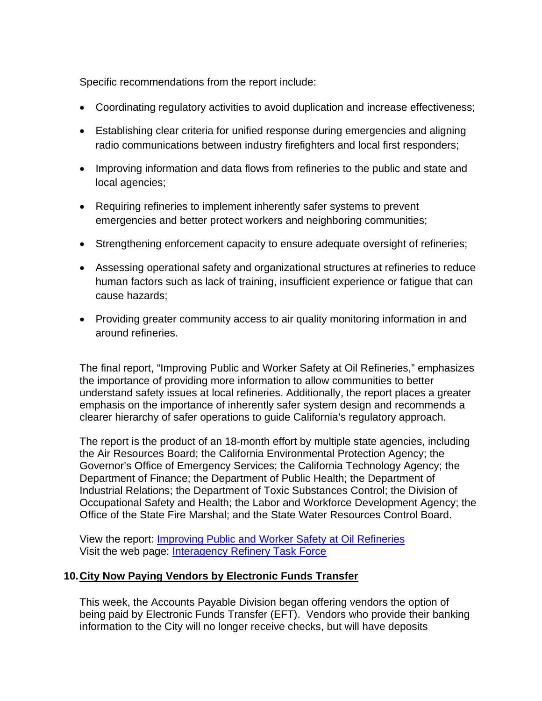Specific recommendations from the report include:

- Coordinating regulatory activities to avoid duplication and increase effectiveness;
- Establishing clear criteria for unified response during emergencies and aligning radio communications between industry firefighters and local first responders;
- Improving information and data flows from refineries to the public and state and local agencies;
- Requiring refineries to implement inherently safer systems to prevent emergencies and better protect workers and neighboring communities;
- Strengthening enforcement capacity to ensure adequate oversight of refineries;
- Assessing operational safety and organizational structures at refineries to reduce human factors such as lack of training, insufficient experience or fatigue that can cause hazards;
- Providing greater community access to air quality monitoring information in and around refineries.

The final report, "Improving Public and Worker Safety at Oil Refineries," emphasizes the importance of providing more information to allow communities to better understand safety issues at local refineries. Additionally, the report places a greater emphasis on the importance of inherently safer system design and recommends a clearer hierarchy of safer operations to guide California's regulatory approach.

The report is the product of an 18-month effort by multiple state agencies, including the Air Resources Board; the California Environmental Protection Agency; the Governor's Office of Emergency Services; the California Technology Agency; the Department of Finance; the Department of Public Health; the Department of Industrial Relations; the Department of Toxic Substances Control; the Division of Occupational Safety and Health; the Labor and Workforce Development Agency; the Office of the State Fire Marshal; and the State Water Resources Control Board.

View the report: Improving Public and Worker Safety at Oil Refineries Visit the web page: Interagency Refinery Task Force

## **10. City Now Paying Vendors by Electronic Funds Transfer**

This week, the Accounts Payable Division began offering vendors the option of being paid by Electronic Funds Transfer (EFT). Vendors who provide their banking information to the City will no longer receive checks, but will have deposits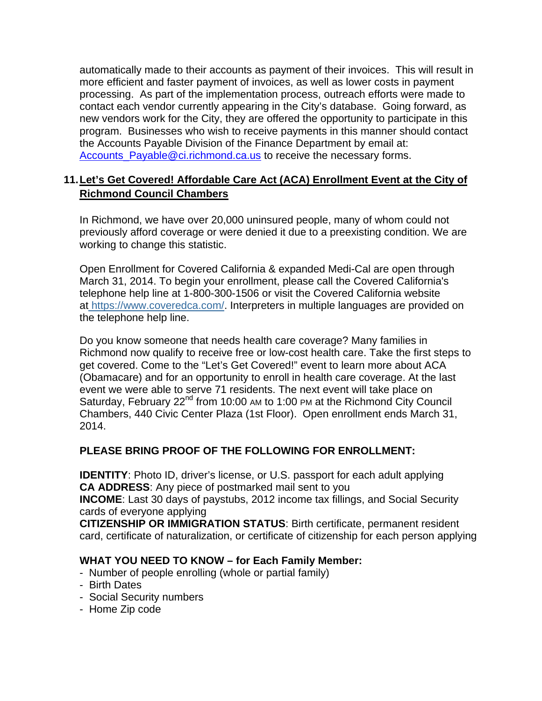automatically made to their accounts as payment of their invoices. This will result in more efficient and faster payment of invoices, as well as lower costs in payment processing. As part of the implementation process, outreach efforts were made to contact each vendor currently appearing in the City's database. Going forward, as new vendors work for the City, they are offered the opportunity to participate in this program. Businesses who wish to receive payments in this manner should contact the Accounts Payable Division of the Finance Department by email at: Accounts\_Payable@ci.richmond.ca.us to receive the necessary forms.

## **11. Let's Get Covered! Affordable Care Act (ACA) Enrollment Event at the City of Richmond Council Chambers**

In Richmond, we have over 20,000 uninsured people, many of whom could not previously afford coverage or were denied it due to a preexisting condition. We are working to change this statistic.

Open Enrollment for Covered California & expanded Medi-Cal are open through March 31, 2014. To begin your enrollment, please call the Covered California's telephone help line at 1-800-300-1506 or visit the Covered California website at https://www.coveredca.com/. Interpreters in multiple languages are provided on the telephone help line.

Do you know someone that needs health care coverage? Many families in Richmond now qualify to receive free or low-cost health care. Take the first steps to get covered. Come to the "Let's Get Covered!" event to learn more about ACA (Obamacare) and for an opportunity to enroll in health care coverage. At the last event we were able to serve 71 residents. The next event will take place on Saturday, February 22<sup>nd</sup> from 10:00 AM to 1:00 PM at the Richmond City Council Chambers, 440 Civic Center Plaza (1st Floor). Open enrollment ends March 31, 2014.

## **PLEASE BRING PROOF OF THE FOLLOWING FOR ENROLLMENT:**

**IDENTITY**: Photo ID, driver's license, or U.S. passport for each adult applying **CA ADDRESS**: Any piece of postmarked mail sent to you

**INCOME**: Last 30 days of paystubs, 2012 income tax fillings, and Social Security cards of everyone applying

**CITIZENSHIP OR IMMIGRATION STATUS**: Birth certificate, permanent resident card, certificate of naturalization, or certificate of citizenship for each person applying

## **WHAT YOU NEED TO KNOW – for Each Family Member:**

- Number of people enrolling (whole or partial family)
- Birth Dates
- Social Security numbers
- Home Zip code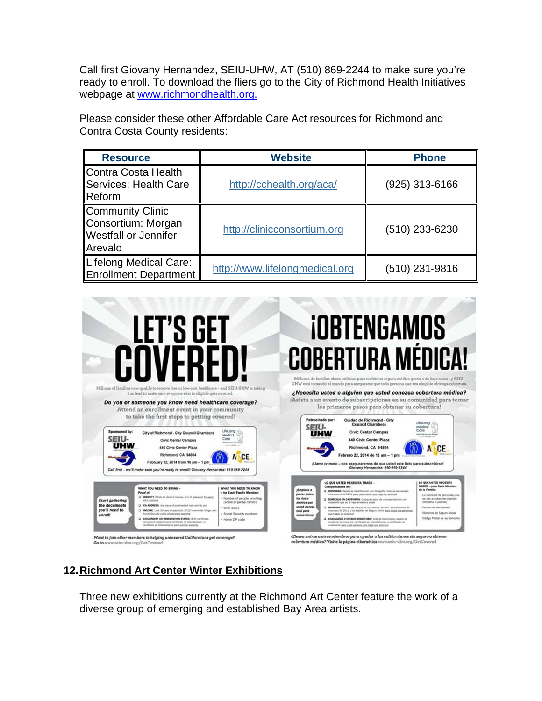Call first Giovany Hernandez, SEIU-UHW, AT (510) 869-2244 to make sure you're ready to enroll. To download the fliers go to the City of Richmond Health Initiatives webpage at www.richmondhealth.org.

Please consider these other Affordable Care Act resources for Richmond and Contra Costa County residents:

| <b>Resource</b>                                                                         | <b>Website</b>                 | <b>Phone</b>     |
|-----------------------------------------------------------------------------------------|--------------------------------|------------------|
| <b>Contra Costa Health</b><br><b>Services: Health Care</b><br>Reform                    | http://cchealth.org/aca/       | $(925)$ 313-6166 |
| <b>Community Clinic</b><br>Consortium: Morgan<br><b>Westfall or Jennifer</b><br>Arevalo | http://clinicconsortium.org    | (510) 233-6230   |
| Lifelong Medical Care:<br><b>Enrollment Department</b>                                  | http://www.lifelongmedical.org | (510) 231-9816   |



# **12. Richmond Art Center Winter Exhibitions**

Three new exhibitions currently at the Richmond Art Center feature the work of a diverse group of emerging and established Bay Area artists.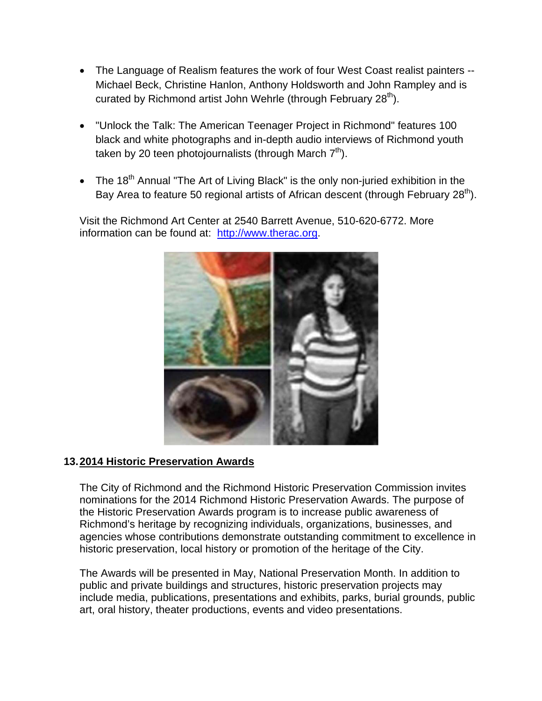- The Language of Realism features the work of four West Coast realist painters --Michael Beck, Christine Hanlon, Anthony Holdsworth and John Rampley and is curated by Richmond artist John Wehrle (through February 28<sup>th</sup>).
- "Unlock the Talk: The American Teenager Project in Richmond" features 100 black and white photographs and in-depth audio interviews of Richmond youth taken by 20 teen photojournalists (through March  $7<sup>th</sup>$ ).
- The 18<sup>th</sup> Annual "The Art of Living Black" is the only non-juried exhibition in the Bay Area to feature 50 regional artists of African descent (through February  $28<sup>th</sup>$ ).

Visit the Richmond Art Center at 2540 Barrett Avenue, 510-620-6772. More information can be found at: http://www.therac.org.



## **13. 2014 Historic Preservation Awards**

The City of Richmond and the Richmond Historic Preservation Commission invites nominations for the 2014 Richmond Historic Preservation Awards. The purpose of the Historic Preservation Awards program is to increase public awareness of Richmond's heritage by recognizing individuals, organizations, businesses, and agencies whose contributions demonstrate outstanding commitment to excellence in historic preservation, local history or promotion of the heritage of the City.

The Awards will be presented in May, National Preservation Month. In addition to public and private buildings and structures, historic preservation projects may include media, publications, presentations and exhibits, parks, burial grounds, public art, oral history, theater productions, events and video presentations.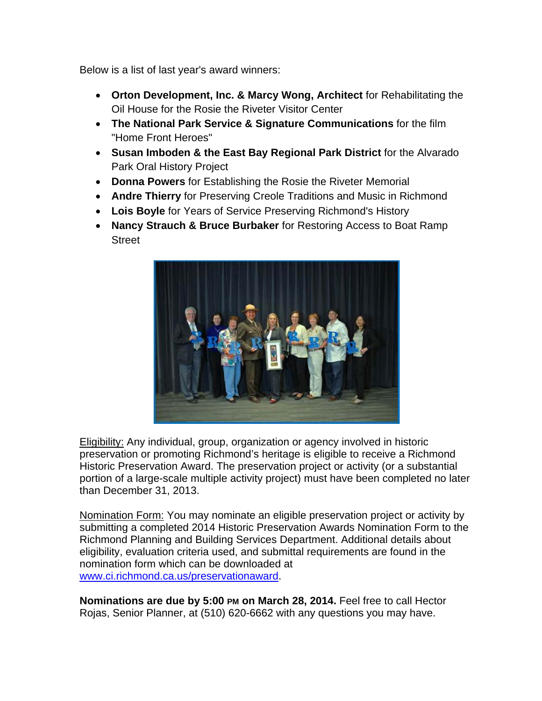Below is a list of last year's award winners:

- **Orton Development, Inc. & Marcy Wong, Architect** for Rehabilitating the Oil House for the Rosie the Riveter Visitor Center
- **The National Park Service & Signature Communications** for the film "Home Front Heroes"
- **Susan Imboden & the East Bay Regional Park District** for the Alvarado Park Oral History Project
- **Donna Powers** for Establishing the Rosie the Riveter Memorial
- **Andre Thierry** for Preserving Creole Traditions and Music in Richmond
- **Lois Boyle** for Years of Service Preserving Richmond's History
- **Nancy Strauch & Bruce Burbaker** for Restoring Access to Boat Ramp **Street**



**Eligibility:** Any individual, group, organization or agency involved in historic preservation or promoting Richmond's heritage is eligible to receive a Richmond Historic Preservation Award. The preservation project or activity (or a substantial portion of a large-scale multiple activity project) must have been completed no later than December 31, 2013.

Nomination Form: You may nominate an eligible preservation project or activity by submitting a completed 2014 Historic Preservation Awards Nomination Form to the Richmond Planning and Building Services Department. Additional details about eligibility, evaluation criteria used, and submittal requirements are found in the nomination form which can be downloaded at www.ci.richmond.ca.us/preservationaward.

**Nominations are due by 5:00 PM on March 28, 2014.** Feel free to call Hector Rojas, Senior Planner, at (510) 620-6662 with any questions you may have.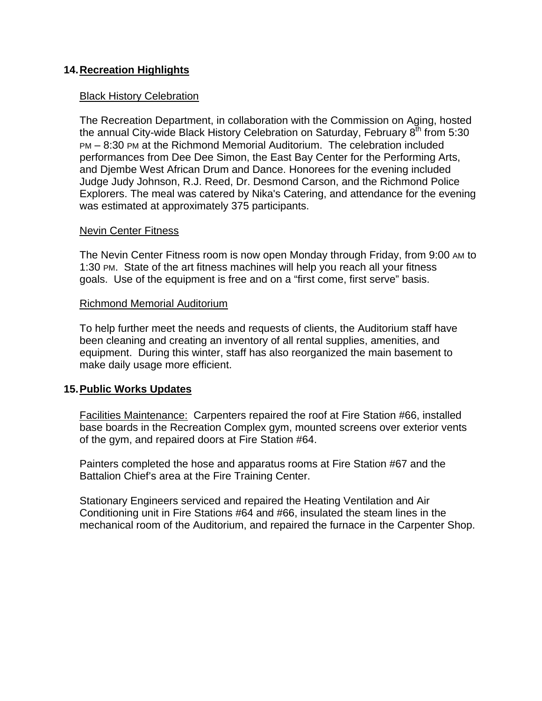## **14. Recreation Highlights**

#### Black History Celebration

The Recreation Department, in collaboration with the Commission on Aging, hosted the annual City-wide Black History Celebration on Saturday, February  $8<sup>th</sup>$  from 5:30 PM – 8:30 PM at the Richmond Memorial Auditorium. The celebration included performances from Dee Dee Simon, the East Bay Center for the Performing Arts, and Djembe West African Drum and Dance. Honorees for the evening included Judge Judy Johnson, R.J. Reed, Dr. Desmond Carson, and the Richmond Police Explorers. The meal was catered by Nika's Catering, and attendance for the evening was estimated at approximately 375 participants.

#### Nevin Center Fitness

The Nevin Center Fitness room is now open Monday through Friday, from 9:00 AM to 1:30 PM. State of the art fitness machines will help you reach all your fitness goals. Use of the equipment is free and on a "first come, first serve" basis.

#### Richmond Memorial Auditorium

To help further meet the needs and requests of clients, the Auditorium staff have been cleaning and creating an inventory of all rental supplies, amenities, and equipment. During this winter, staff has also reorganized the main basement to make daily usage more efficient.

## **15. Public Works Updates**

Facilities Maintenance: Carpenters repaired the roof at Fire Station #66, installed base boards in the Recreation Complex gym, mounted screens over exterior vents of the gym, and repaired doors at Fire Station #64.

Painters completed the hose and apparatus rooms at Fire Station #67 and the Battalion Chief's area at the Fire Training Center.

Stationary Engineers serviced and repaired the Heating Ventilation and Air Conditioning unit in Fire Stations #64 and #66, insulated the steam lines in the mechanical room of the Auditorium, and repaired the furnace in the Carpenter Shop.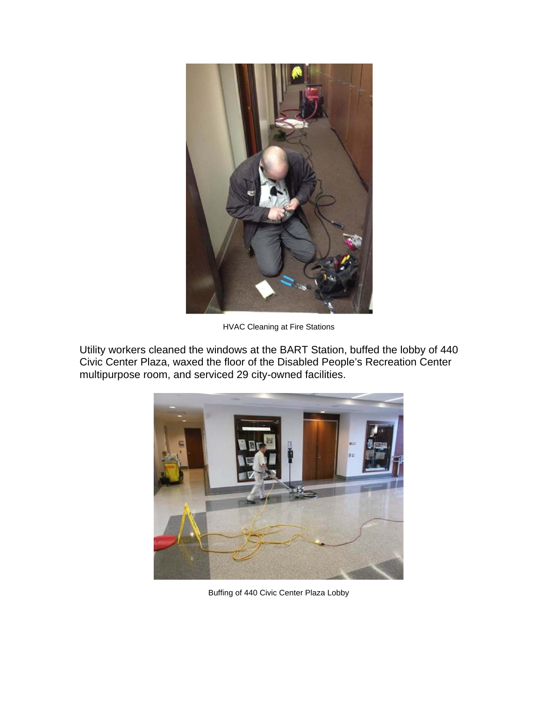

HVAC Cleaning at Fire Stations

Utility workers cleaned the windows at the BART Station, buffed the lobby of 440 Civic Center Plaza, waxed the floor of the Disabled People's Recreation Center multipurpose room, and serviced 29 city-owned facilities.



Buffing of 440 Civic Center Plaza Lobby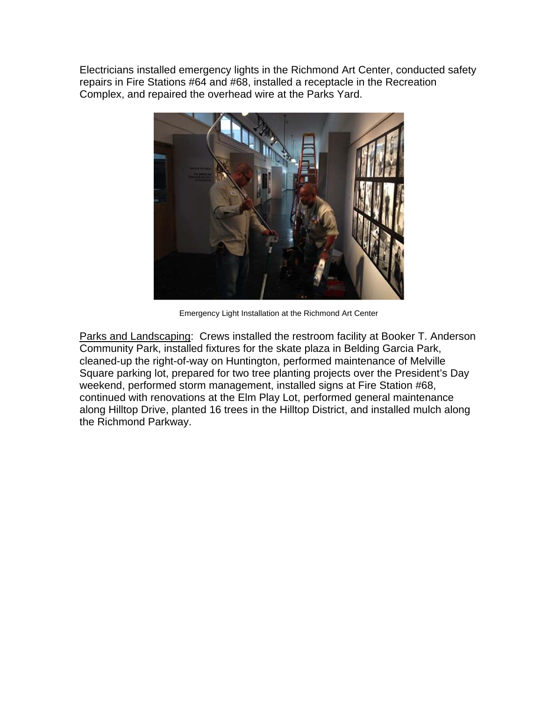Electricians installed emergency lights in the Richmond Art Center, conducted safety repairs in Fire Stations #64 and #68, installed a receptacle in the Recreation Complex, and repaired the overhead wire at the Parks Yard.



Emergency Light Installation at the Richmond Art Center

Parks and Landscaping: Crews installed the restroom facility at Booker T. Anderson Community Park, installed fixtures for the skate plaza in Belding Garcia Park, cleaned-up the right-of-way on Huntington, performed maintenance of Melville Square parking lot, prepared for two tree planting projects over the President's Day weekend, performed storm management, installed signs at Fire Station #68, continued with renovations at the Elm Play Lot, performed general maintenance along Hilltop Drive, planted 16 trees in the Hilltop District, and installed mulch along the Richmond Parkway.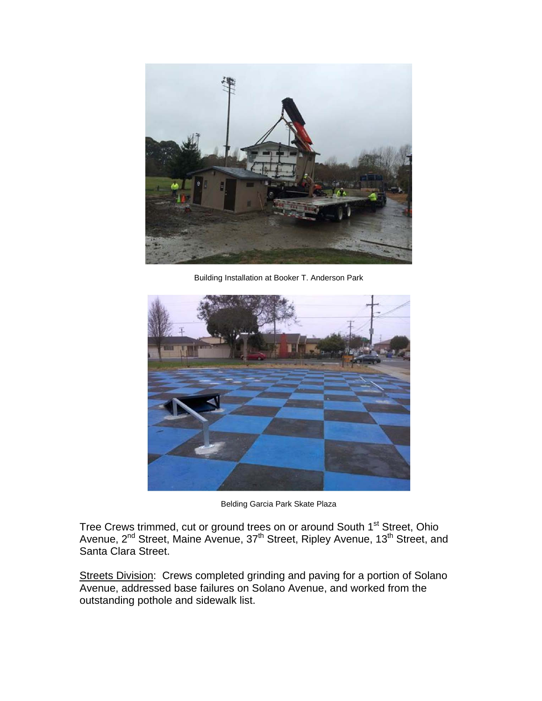

Building Installation at Booker T. Anderson Park



Belding Garcia Park Skate Plaza

Tree Crews trimmed, cut or ground trees on or around South 1<sup>st</sup> Street, Ohio Avenue, 2<sup>nd</sup> Street, Maine Avenue, 37<sup>th</sup> Street, Ripley Avenue, 13<sup>th</sup> Street, and Santa Clara Street.

Streets Division: Crews completed grinding and paving for a portion of Solano Avenue, addressed base failures on Solano Avenue, and worked from the outstanding pothole and sidewalk list.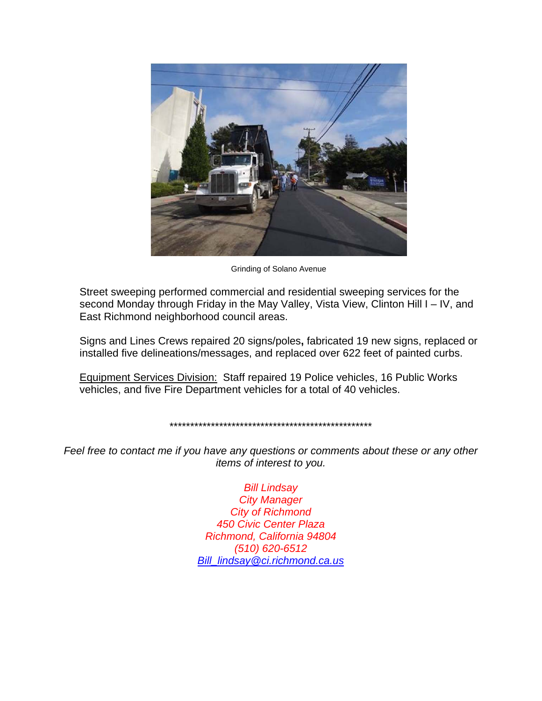

Grinding of Solano Avenue

Street sweeping performed commercial and residential sweeping services for the second Monday through Friday in the May Valley, Vista View, Clinton Hill I – IV, and East Richmond neighborhood council areas.

Signs and Lines Crews repaired 20 signs/poles**,** fabricated 19 new signs, replaced or installed five delineations/messages, and replaced over 622 feet of painted curbs.

Equipment Services Division: Staff repaired 19 Police vehicles, 16 Public Works vehicles, and five Fire Department vehicles for a total of 40 vehicles.

#### \*\*\*\*\*\*\*\*\*\*\*\*\*\*\*\*\*\*\*\*\*\*\*\*\*\*\*\*\*\*\*\*\*\*\*\*\*\*\*\*\*\*\*\*\*\*\*\*\*

*Feel free to contact me if you have any questions or comments about these or any other items of interest to you.* 

> *Bill Lindsay City Manager City of Richmond 450 Civic Center Plaza Richmond, California 94804 (510) 620-6512 Bill\_lindsay@ci.richmond.ca.us*